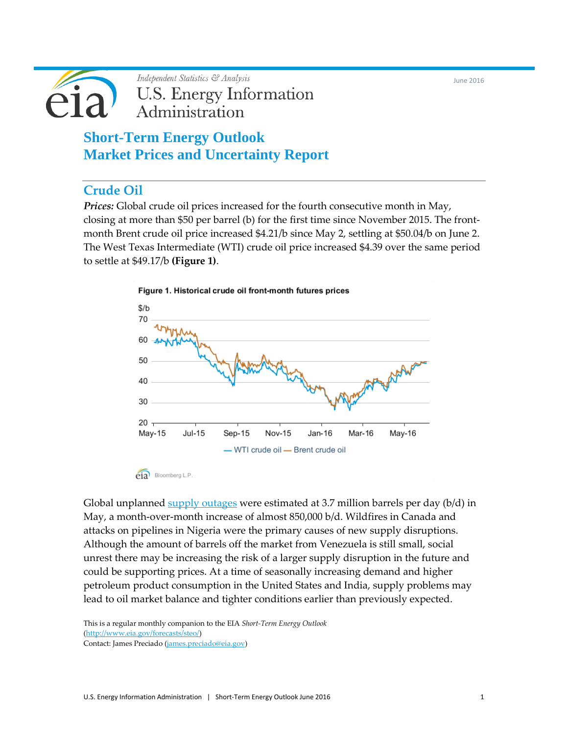June 2016

Independent Statistics & Analysis **U.S. Energy Information** Administration

> **Short-Term Energy Outlook Market Prices and Uncertainty Report**

# **Crude Oil**

*Prices:* Global crude oil prices increased for the fourth consecutive month in May, closing at more than \$50 per barrel (b) for the first time since November 2015. The frontmonth Brent crude oil price increased \$4.21/b since May 2, settling at \$50.04/b on June 2. The West Texas Intermediate (WTI) crude oil price increased \$4.39 over the same period to settle at \$49.17/b **(Figure 1)**.



Global unplanned  $\frac{\text{supply} \text{ outages}}{\text{ were estimated at 3.7 million barriers}}$  per day (b/d) in May, a month-over-month increase of almost 850,000 b/d. Wildfires in Canada and attacks on pipelines in Nigeria were the primary causes of new supply disruptions. Although the amount of barrels off the market from Venezuela is still small, social unrest there may be increasing the risk of a larger supply disruption in the future and could be supporting prices. At a time of seasonally increasing demand and higher petroleum product consumption in the United States and India, supply problems may lead to oil market balance and tighter conditions earlier than previously expected.

This is a regular monthly companion to the EIA *Short-Term Energy Outlook* [\(http://www.eia.gov/forecasts/steo/\)](http://www.eia.gov/forecasts/steo/) Contact: James Preciado [\(james.preciado@eia.gov\)](mailto:james.preciado@eia.gov)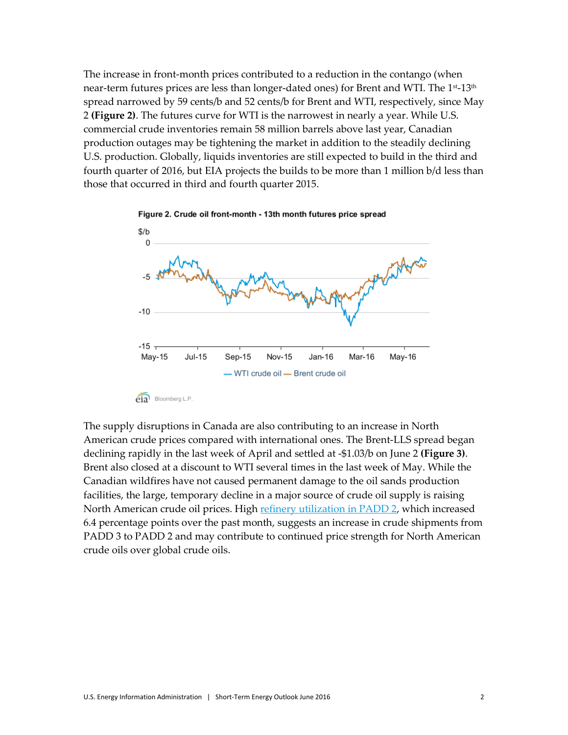The increase in front-month prices contributed to a reduction in the contango (when near-term futures prices are less than longer-dated ones) for Brent and WTI. The 1<sup>st</sup>-13<sup>th</sup> spread narrowed by 59 cents/b and 52 cents/b for Brent and WTI, respectively, since May 2 **(Figure 2)**. The futures curve for WTI is the narrowest in nearly a year. While U.S. commercial crude inventories remain 58 million barrels above last year, Canadian production outages may be tightening the market in addition to the steadily declining U.S. production. Globally, liquids inventories are still expected to build in the third and fourth quarter of 2016, but EIA projects the builds to be more than 1 million b/d less than those that occurred in third and fourth quarter 2015.





 $eia$  Bloomberg L.P.

The supply disruptions in Canada are also contributing to an increase in North American crude prices compared with international ones. The Brent-LLS spread began declining rapidly in the last week of April and settled at -\$1.03/b on June 2 **(Figure 3)**. Brent also closed at a discount to WTI several times in the last week of May. While the Canadian wildfires have not caused permanent damage to the oil sands production facilities, the large, temporary decline in a major source of crude oil supply is raising North American crude oil prices. Hig[h refinery utilization in PADD 2,](http://www.eia.gov/dnav/pet/pet_pnp_wiup_dcu_r20_w.htm) which increased 6.4 percentage points over the past month, suggests an increase in crude shipments from PADD 3 to PADD 2 and may contribute to continued price strength for North American crude oils over global crude oils.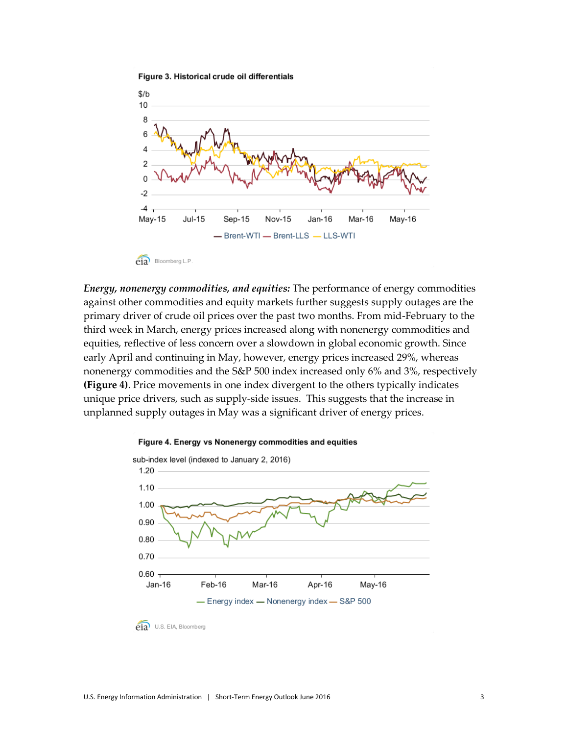

Figure 3. Historical crude oil differentials



*Energy, nonenergy commodities, and equities:* The performance of energy commodities against other commodities and equity markets further suggests supply outages are the primary driver of crude oil prices over the past two months. From mid-February to the third week in March, energy prices increased along with nonenergy commodities and equities, reflective of less concern over a slowdown in global economic growth. Since early April and continuing in May, however, energy prices increased 29%, whereas nonenergy commodities and the S&P 500 index increased only 6% and 3%, respectively **(Figure 4)**. Price movements in one index divergent to the others typically indicates unique price drivers, such as supply-side issues. This suggests that the increase in unplanned supply outages in May was a significant driver of energy prices.



### Figure 4. Energy vs Nonenergy commodities and equities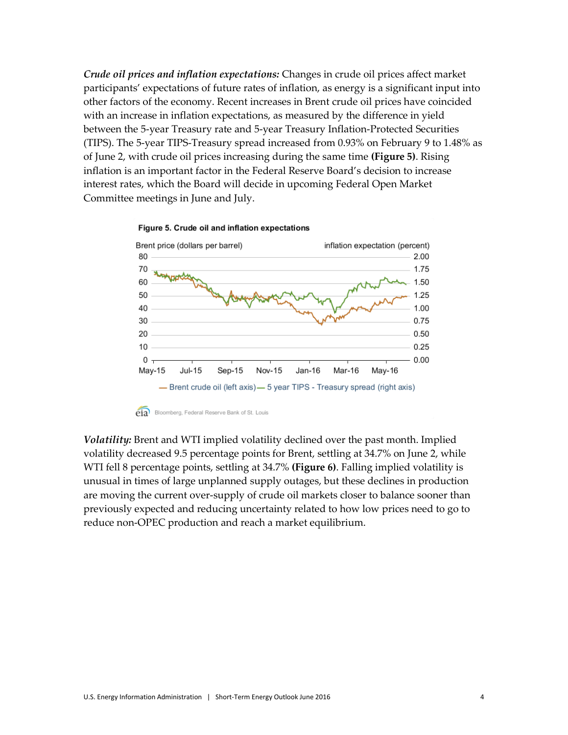*Crude oil prices and inflation expectations:* Changes in crude oil prices affect market participants' expectations of future rates of inflation, as energy is a significant input into other factors of the economy. Recent increases in Brent crude oil prices have coincided with an increase in inflation expectations, as measured by the difference in yield between the 5-year Treasury rate and 5-year Treasury Inflation-Protected Securities (TIPS). The 5-year TIPS-Treasury spread increased from 0.93% on February 9 to 1.48% as of June 2, with crude oil prices increasing during the same time **(Figure 5)**. Rising inflation is an important factor in the Federal Reserve Board's decision to increase interest rates, which the Board will decide in upcoming Federal Open Market Committee meetings in June and July.



#### Figure 5. Crude oil and inflation expectations

*Volatility:* Brent and WTI implied volatility declined over the past month. Implied volatility decreased 9.5 percentage points for Brent, settling at 34.7% on June 2, while WTI fell 8 percentage points, settling at 34.7% **(Figure 6)**. Falling implied volatility is unusual in times of large unplanned supply outages, but these declines in production are moving the current over-supply of crude oil markets closer to balance sooner than previously expected and reducing uncertainty related to how low prices need to go to reduce non-OPEC production and reach a market equilibrium.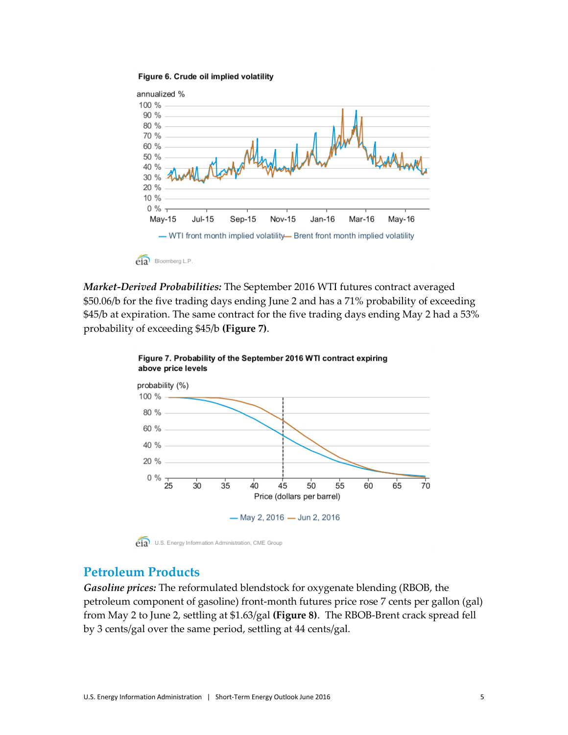



*Market-Derived Probabilities:* The September 2016 WTI futures contract averaged \$50.06/b for the five trading days ending June 2 and has a 71% probability of exceeding \$45/b at expiration. The same contract for the five trading days ending May 2 had a 53% probability of exceeding \$45/b **(Figure 7)**.



Figure 7. Probability of the September 2016 WTI contract expiring above price levels

eta<sup>)</sup> U.S. Energy Information Administration, CME Group

## **Petroleum Products**

*Gasoline prices:* The reformulated blendstock for oxygenate blending (RBOB, the petroleum component of gasoline) front-month futures price rose 7 cents per gallon (gal) from May 2 to June 2, settling at \$1.63/gal **(Figure 8)**. The RBOB-Brent crack spread fell by 3 cents/gal over the same period, settling at 44 cents/gal.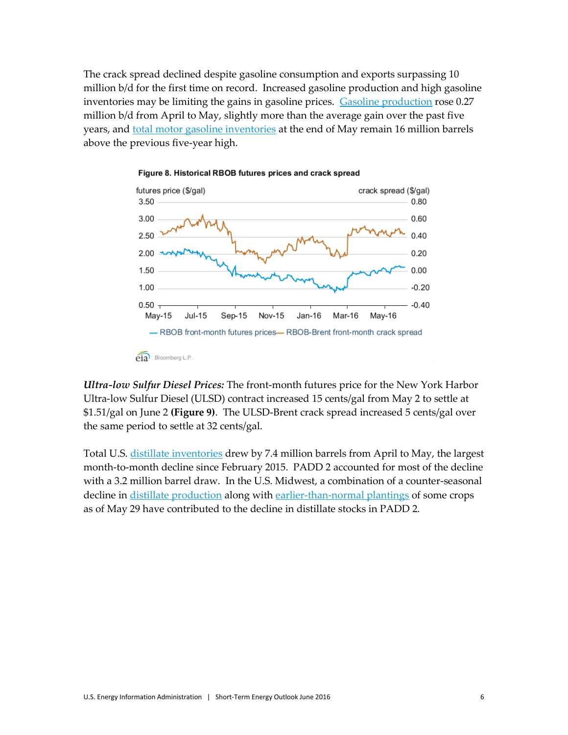The crack spread declined despite gasoline consumption and exports surpassing 10 million b/d for the first time on record. Increased gasoline production and high gasoline inventories may be limiting the gains in gasoline prices. [Gasoline production](http://www.eia.gov/dnav/pet/hist/LeafHandler.ashx?n=PET&s=WGFRPUS2&f=4) rose 0.27 million b/d from April to May, slightly more than the average gain over the past five years, and [total motor gasoline inventories](http://www.eia.gov/dnav/pet/hist/LeafHandler.ashx?n=PET&s=WGTSTUS1&f=W) at the end of May remain 16 million barrels above the previous five-year high.





*Ultra-low Sulfur Diesel Prices:* The front-month futures price for the New York Harbor Ultra-low Sulfur Diesel (ULSD) contract increased 15 cents/gal from May 2 to settle at \$1.51/gal on June 2 **(Figure 9)**. The ULSD-Brent crack spread increased 5 cents/gal over the same period to settle at 32 cents/gal.

Total U.S. [distillate inventories](http://www.eia.gov/dnav/pet/hist/LeafHandler.ashx?n=PET&s=WDISTUS1&f=W) drew by 7.4 million barrels from April to May, the largest month-to-month decline since February 2015. PADD 2 accounted for most of the decline with a 3.2 million barrel draw. In the U.S. Midwest, a combination of a counter-seasonal decline in [distillate production](http://www.eia.gov/dnav/pet/hist/LeafHandler.ashx?n=PET&s=WDIRPP22&f=4) along with [earlier-than-normal plantings](http://usda.mannlib.cornell.edu/usda/current/CropProg/CropProg-05-31-2016.pdf) of some crops as of May 29 have contributed to the decline in distillate stocks in PADD 2.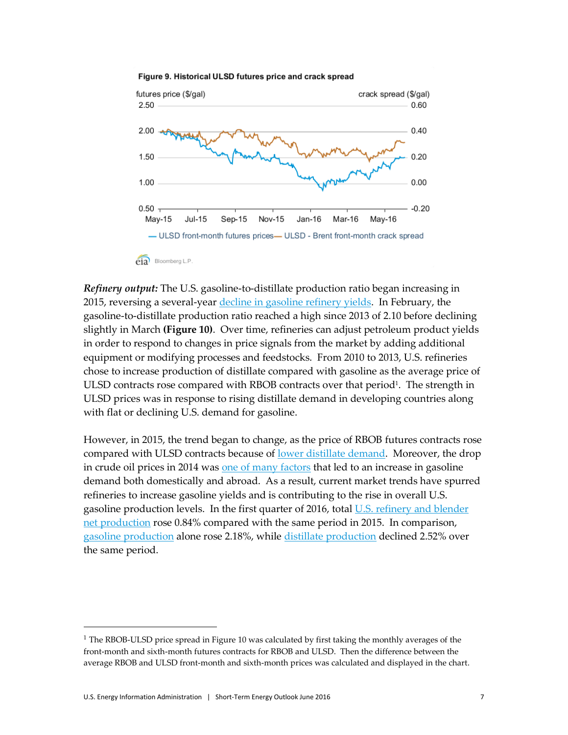

#### Figure 9. Historical ULSD futures price and crack spread

*Refinery output:* The U.S. gasoline-to-distillate production ratio began increasing in 2015, reversing a several-year [decline in gasoline](http://www.eia.gov/forecasts/steo/uncertainty/pdf/jan14_uncertainty.pdf) refinery yields. In February, the gasoline-to-distillate production ratio reached a high since 2013 of 2.10 before declining slightly in March **(Figure 10)**. Over time, refineries can adjust petroleum product yields in order to respond to changes in price signals from the market by adding additional equipment or modifying processes and feedstocks. From 2010 to 2013, U.S. refineries chose to increase production of distillate compared with gasoline as the average price of ULSD contracts rose compared with RBOB contracts over that period<sup>1</sup>. The strength in ULSD prices was in response to rising distillate demand in developing countries along with flat or declining U.S. demand for gasoline.

However, in 2015, the trend began to change, as the price of RBOB futures contracts rose compared with ULSD contracts because of lower [distillate demand.](http://www.eia.gov/todayinenergy/detail.cfm?id=26452) Moreover, the drop in crude oil prices in 2014 was [one of many factors](http://www.eia.gov/todayinenergy/detail.cfm?id=22932) that led to an increase in gasoline demand both domestically and abroad. As a result, current market trends have spurred refineries to increase gasoline yields and is contributing to the rise in overall U.S. gasoline production levels. In the first quarter of 2016, total U.S. refinery and blender [net production](http://www.eia.gov/dnav/pet/hist/LeafHandler.ashx?n=PET&s=MGFRPUS2&f=M) rose 0.84% compared with the same period in 2015. In comparison, [gasoline production](http://www.eia.gov/dnav/pet/hist/LeafHandler.ashx?n=PET&s=MGFRPUS2&f=M) alone rose 2.18%, while [distillate production](http://www.eia.gov/dnav/pet/hist/LeafHandler.ashx?n=PET&s=MDIRPUS2&f=M) declined 2.52% over the same period.

 $\overline{\phantom{a}}$ 

 $1$  The RBOB-ULSD price spread in Figure 10 was calculated by first taking the monthly averages of the front-month and sixth-month futures contracts for RBOB and ULSD. Then the difference between the average RBOB and ULSD front-month and sixth-month prices was calculated and displayed in the chart.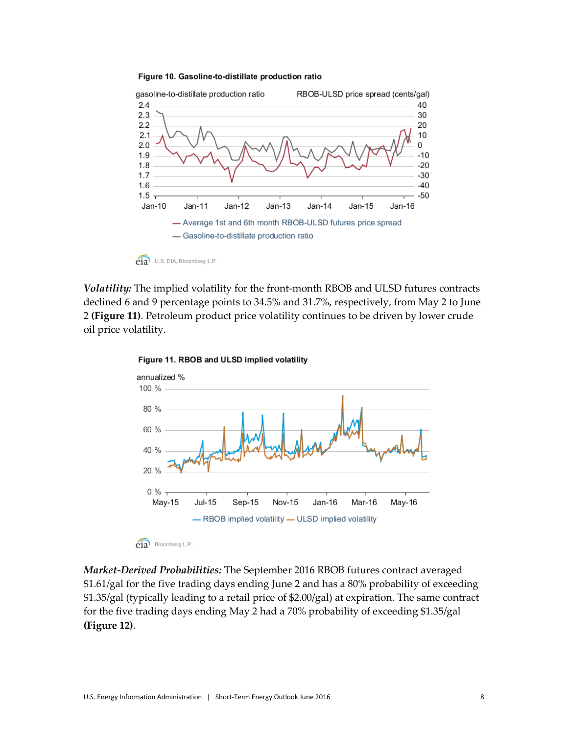



*Volatility:* The implied volatility for the front-month RBOB and ULSD futures contracts declined 6 and 9 percentage points to 34.5% and 31.7%, respectively, from May 2 to June 2 **(Figure 11)**. Petroleum product price volatility continues to be driven by lower crude oil price volatility.



Figure 11. RBOB and ULSD implied volatility

*Market-Derived Probabilities:* The September 2016 RBOB futures contract averaged \$1.61/gal for the five trading days ending June 2 and has a 80% probability of exceeding \$1.35/gal (typically leading to a retail price of \$2.00/gal) at expiration. The same contract for the five trading days ending May 2 had a 70% probability of exceeding \$1.35/gal **(Figure 12)**.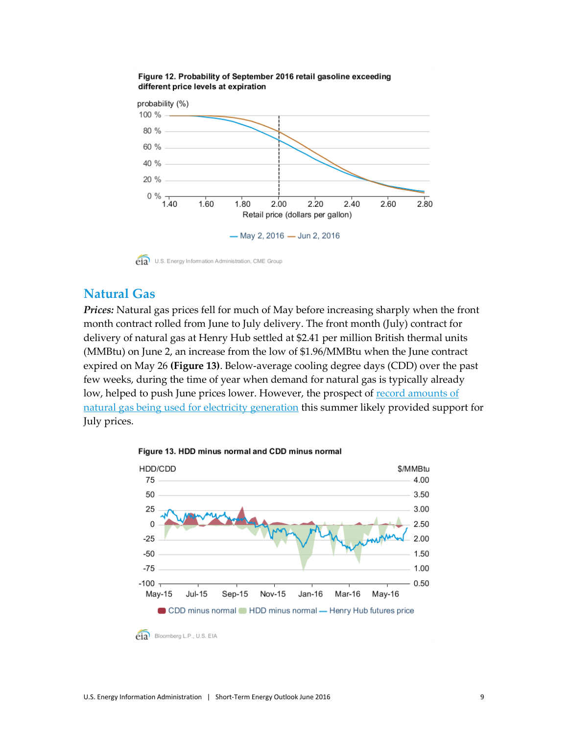

### Figure 12. Probability of September 2016 retail gasoline exceeding different price levels at expiration

eta<sup>)</sup> U.S. Energy Information Administration, CME Group

## **Natural Gas**

*Prices:* Natural gas prices fell for much of May before increasing sharply when the front month contract rolled from June to July delivery. The front month (July) contract for delivery of natural gas at Henry Hub settled at \$2.41 per million British thermal units (MMBtu) on June 2, an increase from the low of \$1.96/MMBtu when the June contract expired on May 26 **(Figure 13)**. Below-average cooling degree days (CDD) over the past few weeks, during the time of year when demand for natural gas is typically already low, helped to push June prices lower. However, the prospect of [record amounts of](http://www.eia.gov/naturalgas/weekly/)  [natural gas being used for electricity generation](http://www.eia.gov/naturalgas/weekly/) this summer likely provided support for July prices.



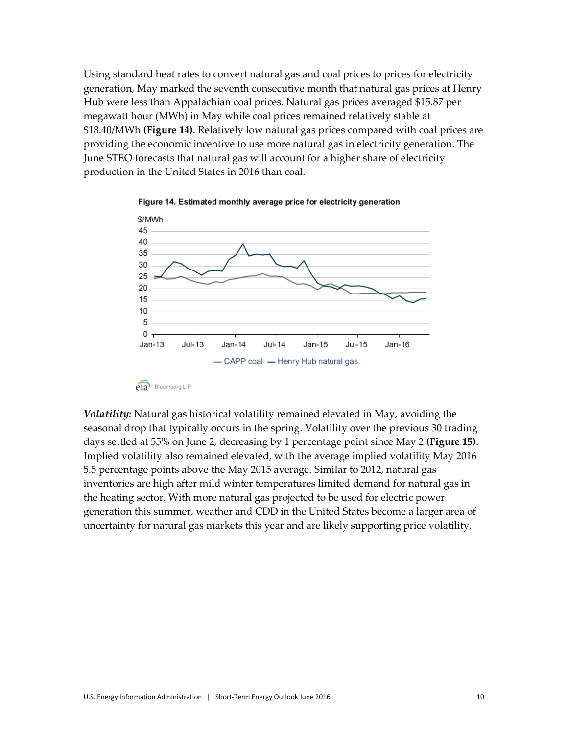Using standard heat rates to convert natural gas and coal prices to prices for electricity generation, May marked the seventh consecutive month that natural gas prices at Henry Hub were less than Appalachian coal prices. Natural gas prices averaged \$15.87 per megawatt hour (MWh) in May while coal prices remained relatively stable at \$18.40/MWh **(Figure 14)**. Relatively low natural gas prices compared with coal prices are providing the economic incentive to use more natural gas in electricity generation. The June STEO forecasts that natural gas will account for a higher share of electricity production in the United States in 2016 than coal.





*Volatility:* Natural gas historical volatility remained elevated in May, avoiding the seasonal drop that typically occurs in the spring. Volatility over the previous 30 trading days settled at 55% on June 2, decreasing by 1 percentage point since May 2 **(Figure 15)**. Implied volatility also remained elevated, with the average implied volatility May 2016 5.5 percentage points above the May 2015 average. Similar to 2012, natural gas inventories are high after mild winter temperatures limited demand for natural gas in the heating sector. With more natural gas projected to be used for electric power generation this summer, weather and CDD in the United States become a larger area of uncertainty for natural gas markets this year and are likely supporting price volatility.

 $\overrightarrow{e}$ **ia** Bloomberg L.P.